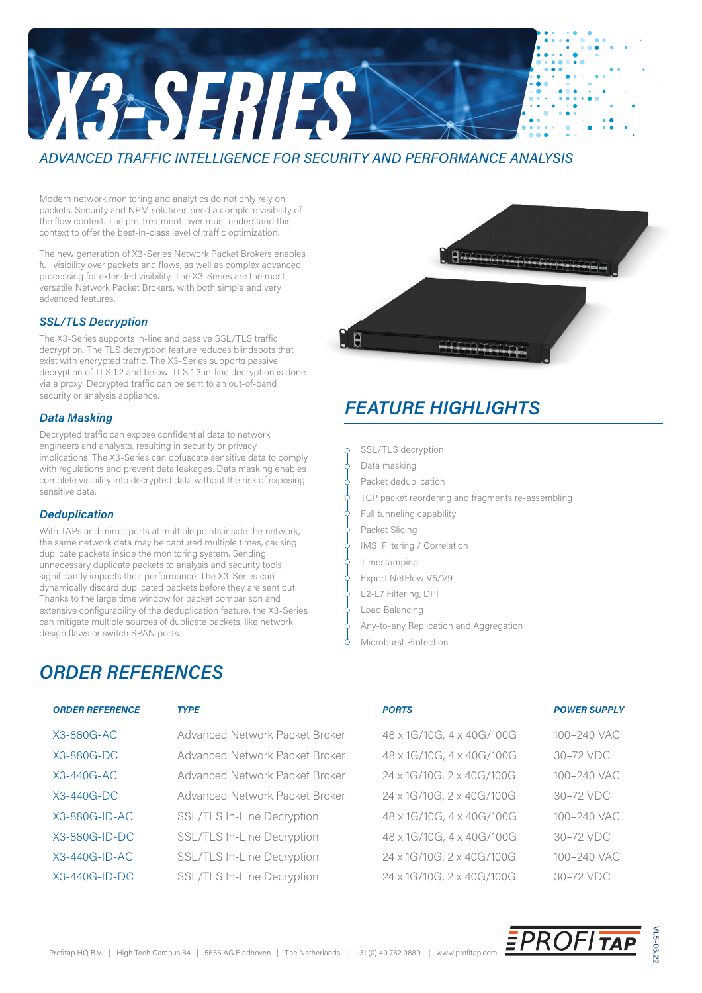# *X3-SERIES*

## *ADVANCED TRAFFIC INTELLIGENCE FOR SECURITY AND PERFORMANCE ANALYSIS*

Modern network monitoring and analytics do not only rely on packets. Security and NPM solutions need a complete visibility of the flow context. The pre-treatment layer must understand this context to offer the best-in-class level of traffic optimization.

The new generation of X3-Series Network Packet Brokers enables full visibility over packets and flows, as well as complex advanced processing for extended visibility. The X3-Series are the most versatile Network Packet Brokers, with both simple and very advanced features.

### *SSL/TLS Decryption*

The X3-Series supports in-line and passive SSL/TLS traffic decryption. The TLS decryption feature reduces blindspots that exist with encrypted traffic. The X3-Series supports passive decryption of TLS 1.2 and below. TLS 1.3 in-line decryption is done via a proxy. Decrypted traffic can be sent to an out-of-band security or analysis appliance.

### *Data Masking*

Decrypted traffic can expose confidential data to network engineers and analysts, resulting in security or privacy implications. The X3-Series can obfuscate sensitive data to comply with regulations and prevent data leakages. Data masking enables complete visibility into decrypted data without the risk of exposing sensitive data.

### *Deduplication*

With TAPs and mirror ports at multiple points inside the network, the same network data may be captured multiple times, causing duplicate packets inside the monitoring system. Sending unnecessary duplicate packets to analysis and security tools significantly impacts their performance. The X3-Series can dynamically discard duplicated packets before they are sent out. Thanks to the large time window for packet comparison and extensive configurability of the deduplication feature, the X3-Series can mitigate multiple sources of duplicate packets, like network design flaws or switch SPAN ports.

*ORDER REFERENCES*



# *FEATURE HIGHLIGHTS*

- SSL/TLS decryption
- Data masking
- Packet deduplication
- TCP packet reordering and fragments re-assembling
- Full tunneling capability
- Packet Slicing
- IMSI Filtering / Correlation
- Timestamping
- Export NetFlow V5/V9
- L2-L7 Filtering, DPI
- Load Balancing
- Any-to-any Replication and Aggregation
- Microburst Protection

### X3-880G-AC X3-880G-DC X3-440G-AC X3-440G-DC X3-880G-ID-AC X3-880G-ID-DC X3-440G-ID-AC X3-440G-ID-DC *ORDER REFERENCE* 48 x 1G/10G, 4 x 40G/100G 48 x 1G/10G, 4 x 40G/100G 24 x 1G/10G, 2 x 40G/100G 24 x 1G/10G, 2 x 40G/100G 48 x 1G/10G, 4 x 40G/100G 48 x 1G/10G, 4 x 40G/100G 24 x 1G/10G, 2 x 40G/100G 24 x 1G/10G, 2 x 40G/100G *PORTS* Advanced Network Packet Broker Advanced Network Packet Broker Advanced Network Packet Broker Advanced Network Packet Broker SSL/TLS In-Line Decryption SSL/TLS In-Line Decryption SSL/TLS In-Line Decryption SSL/TLS In-Line Decryption *TYPE* 30–72 VDC 30–72 VDC 100–240 VAC 100–240 VAC 30–72 VDC 30–72 VDC 100–240 VAC 100–240 VAC *POWER SUPPLY*